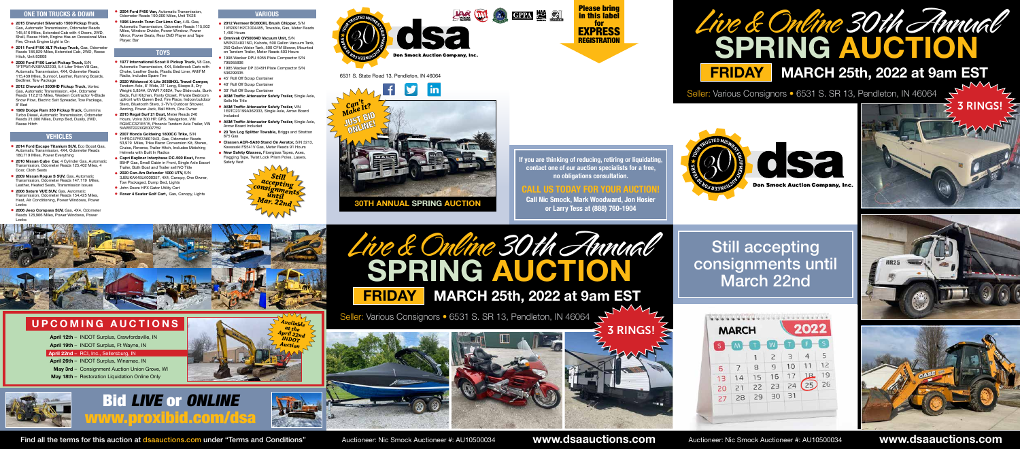6531 S. State Road 13, Pendleton, IN 46064





Still accepting consignments until March 22nd

| <sub>S</sub> | M. |    |                |    | F. | $\mathsf S$ |
|--------------|----|----|----------------|----|----|-------------|
|              |    |    | $\overline{c}$ | 3  | 4  | 5           |
| 6            | 7  | 8  | $\overline{9}$ | 10 | 11 | 12          |
| 13           | 14 | 15 | 16             | 17 | 18 | 19          |
| 20           | 21 | 22 | 23             | 24 | 25 | 26          |
| 27           | 28 | 29 | 30             | 31 |    |             |

#### **ONE TON TRUCKS & DOWN**

- **2015 Chevrolet Silverado 1500 Pickup Truck,** Gas, Automatic Transmission, Odometer Reads 145,516 Miles, Extended Cab with 4 Doors, 2WD, Shell, Reese Hitch, Engine Has an Occasional Miss Fire, Check Engine Light is On
- **2011 Ford F150 XLT Pickup Truck,** Gas, Odometer Reads 186,029 Miles, Extended Cab, 2WD, Reese Hitch, Unit 83008
- **2008 Ford F150 Lariat Pickup Truck,** S/N 1FTPW14VX8FA32200, 5.4 Liter Triton V8 Gas, Automatic Transmission, 4X4, Odometer Reads 115,439 Miles, Sunroof, Leather, Running Boards, Bedliner, Tow Package
- **2012 Chevrolet 3500HD Pickup Truck,** Vortec Gas, Automatic Transmission, 4X4, Odometer Reads 112,213 Miles, Western Contractor V-Blade Snow Plow, Electric Salt Spreader, Tow Package, 8' Bed
- **1989 Dodge Ram 350 Pickup Truck,** Cummins Turbo Diesel, Automatic Transmission, Odometer Reads 21,000 Miles, Dump Bed, Dually, 2WD, Reese Hitch

#### **VEHICLES**

- **2014 Ford Escape Titanium SUV,** Eco Boost Gas, Automatic Transmission, 4X4, Odometer Reads 180,719 Miles, Power Everything
- **2010 Nissan Cube Car,** 4 Cylinder Gas, Automatic Transmission, Odometer Reads 125,402 Miles, 4 Door, Cloth Seats
- **2009 Nissan Rogue S SUV,** Gas, Automatic Transmission, Odometer Reads 147,119 Miles, Leather, Heated Seats, Transmission Issues
- **2006 Saturn VUE SUV,** Gas, Automatic Transmission, Odometer Reads 154,425 Miles, Heat, Air Conditioning, Power Windows, Powe Locks
- **2006 Jeep Compass SUV,** Gas, 4X4, Odometer Reads 128,966 Miles, Power Windows, Power Locks
- **2004 Ford F450 Van,** Automatic Transmission, Odometer Reads 190,000 Miles, Unit TK28
- **1996 Lincoln Town Car Limo Car,** 4.6L Gas, Automatic Transmission, Odometer Reads 115,502 Miles, Window Divider, Power Window, Power Mirror, Power Seats, Rear DVD Player and Tape Player, Bar

#### **TOYS**

*Can't Make It?* Mans<br>JUST BID ONLINE!





- **1977 International Scout II Pickup Truck,** V8 Gas, Automatic Transmission, 4X4, Edelbrock Carb with Choke, Leather Seats, Plastic Bed Liner, AM/FM Radio, Includes Spare Tire
- **2020 Wildwood X-Lite 263BHXL Travel Camper,** Tandem Axle, 8' Wide, 31' Long, Sleeps 8, Dry Weight 5,854#, GVWR 7,682#, Two Slide outs, Bunk Beds, Full Kitchen, Panty Closet, Private Bedroom upfront with Queen Bed, Fire Place, Indoor/outdoor Stero, Bluetooth Stero, 2-TV's Outdoor Shower, Awning, Power Jack, Ball Hitch, One Owner
- **2015 Regal Surf 21 Boat,** Meter Reads 240 Hours, Volvo 300 HP, GPS, Navigation, VIN RGMCC321E515, Phoenix Tandem Axle Trailer, VIN 5VWBT222XGE007759
- **2007 Honda Goldwing 1800CC Trike,** S/N 1HFSC47F67A601943, Gas, Odometer Reads 53,919 Miles, Trike Razor Conversion Kit, Stereo, Cruise, Reverse, Trailer Hitch, Includes Matching Helmets with Built In Radios
- **Capri Bayliner Interphase DC-500 Boat,** Force 85HP Gas, Small Cabin in Front, Single Axle Escort Trailer, Both Boat and Trailer sell NO Title
- **2020 Can-Am Defender 1000 UTV,** S/N 3JBUKAX45LK000357, 4X4, Canopy, One Owner, Tow Packaged, Dump Bed, Lights
- **John Deere HPX Gator Utility Cart**
- **Rover 4 Seater Golf Cart,** Gas, Canopy, Lights

#### **VARIOUS**

- **2012 Vermeer BC600XL Brush Chipper,** S/N 1VR2091H2C1004485, Towable, Gas, Meter Reads 1,450 Hours
- **Omnivak OV50034D Vacuum Unit,** S/N MVIN334831ND, Kubota, 500 Gallon Vacuum Tank, 250 Gallon Water Tank, 500 CFM Blower, Mounted on Tandem Trailer, Meter Reads 503 Hours
- 1998 Wacker DPU 5055 Plate Compactor S/N 795955896
- **1985 Wacker DP 3345H Plate Compactor S/N** 536299335
- 45' Roll Off Scrap Container
- 40' Roll Off Scrap Container
- 30' Roll Off Scrap Container
- **ASM Traffic Attenuator Safety Trailer,** Single Axle, Sells No Title
- **ASM Traffic Attenuator Safety Trailer,** VIN 1E9TC23199A362033, Single Axle, Arrow Board Included
- **ASM Traffic Attenuator Safety Trailer,** Single Axle, Arrow Board Included
- **20 Ton Log Splitter Towable,** Briggs and Stratton 875 Gas







www.dsaauctions.com

# **FRIDAY MARCH 25th, 2022 at 9am EST SPRING AUCTION** Live & Online 30th Annual

Seller: Various Consignors · 6531 S. SR 13, Pendleton, IN 46064





Find all the terms for this auction at dsaauctions.com under "Terms and Conditions" Auctioneer: Nic Smock Auctioneer #: AU10500034 **WWW.dsaauctions.com** Auctioneer: Nic Smock Auctioneer: Nic Smock Auctioneer: Nic Smock Auc

www.proxibid.com/dsa





### **CALL US TODAY FOR YOUR AUCTION!**

**Call Nic Smock, Mark Woodward, Jon Hosier or Larry Tess at (888) 760-1904**